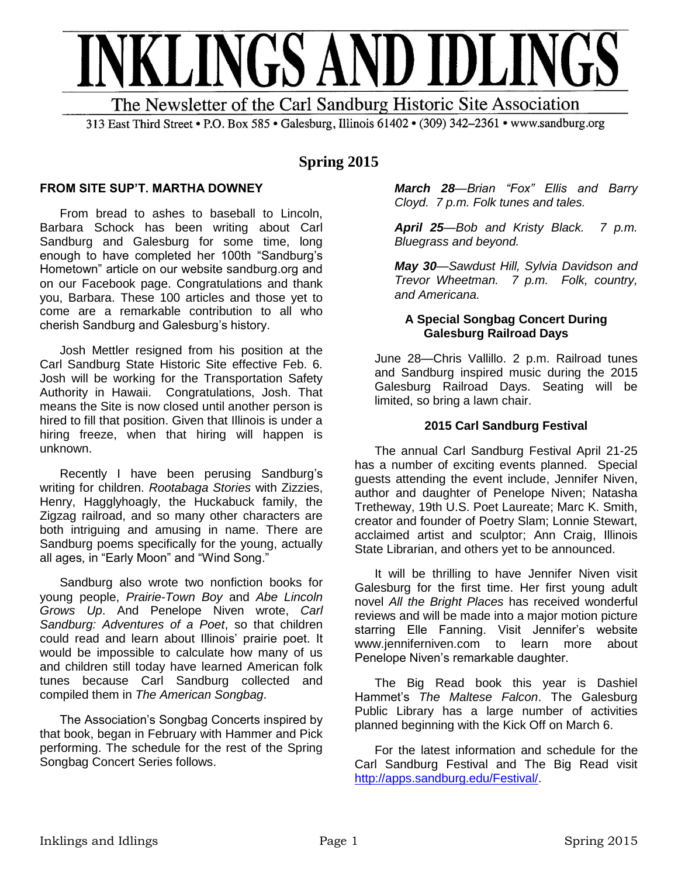

313 East Third Street • P.O. Box 585 • Galesburg, Illinois 61402 • (309) 342–2361 • www.sandburg.org

# **Spring 2015**

# **FROM SITE SUP'T. MARTHA DOWNEY**

From bread to ashes to baseball to Lincoln, Barbara Schock has been writing about Carl Sandburg and Galesburg for some time, long enough to have completed her 100th "Sandburg's Hometown" article on our website sandburg.org and on our Facebook page. Congratulations and thank you, Barbara. These 100 articles and those yet to come are a remarkable contribution to all who cherish Sandburg and Galesburg's history.

Josh Mettler resigned from his position at the Carl Sandburg State Historic Site effective Feb. 6. Josh will be working for the Transportation Safety Authority in Hawaii. Congratulations, Josh. That means the Site is now closed until another person is hired to fill that position. Given that Illinois is under a hiring freeze, when that hiring will happen is unknown.

Recently I have been perusing Sandburg's writing for children. *Rootabaga Stories* with Zizzies, Henry, Hagglyhoagly, the Huckabuck family, the Zigzag railroad, and so many other characters are both intriguing and amusing in name. There are Sandburg poems specifically for the young, actually all ages, in "Early Moon" and "Wind Song."

Sandburg also wrote two nonfiction books for young people, *Prairie-Town Boy* and *Abe Lincoln Grows Up*. And Penelope Niven wrote, *Carl Sandburg: Adventures of a Poet*, so that children could read and learn about Illinois' prairie poet. It would be impossible to calculate how many of us and children still today have learned American folk tunes because Carl Sandburg collected and compiled them in *The American Songbag*.

The Association's Songbag Concerts inspired by that book, began in February with Hammer and Pick performing. The schedule for the rest of the Spring Songbag Concert Series follows.

*March 28—Brian "Fox" Ellis and Barry Cloyd. 7 p.m. Folk tunes and tales.* 

*April 25—Bob and Kristy Black. 7 p.m. Bluegrass and beyond.*

*May 30—Sawdust Hill, Sylvia Davidson and Trevor Wheetman. 7 p.m. Folk, country, and Americana.*

# **A Special Songbag Concert During Galesburg Railroad Days**

June 28—Chris Vallillo. 2 p.m. Railroad tunes and Sandburg inspired music during the 2015 Galesburg Railroad Days. Seating will be limited, so bring a lawn chair.

# **2015 Carl Sandburg Festival**

The annual Carl Sandburg Festival April 21-25 has a number of exciting events planned. Special guests attending the event include, Jennifer Niven, author and daughter of Penelope Niven; Natasha Tretheway, 19th U.S. Poet Laureate; Marc K. Smith, creator and founder of Poetry Slam; Lonnie Stewart, acclaimed artist and sculptor; Ann Craig, Illinois State Librarian, and others yet to be announced.

It will be thrilling to have Jennifer Niven visit Galesburg for the first time. Her first young adult novel *All the Bright Places* has received wonderful reviews and will be made into a major motion picture starring Elle Fanning. Visit Jennifer's website www.jenniferniven.com to learn more about Penelope Niven's remarkable daughter.

The Big Read book this year is Dashiel Hammet's *The Maltese Falcon*. The Galesburg Public Library has a large number of activities planned beginning with the Kick Off on March 6.

For the latest information and schedule for the Carl Sandburg Festival and The Big Read visit [http://apps.sandburg.edu/Festival/.](http://apps.sandburg.edu/Festival/)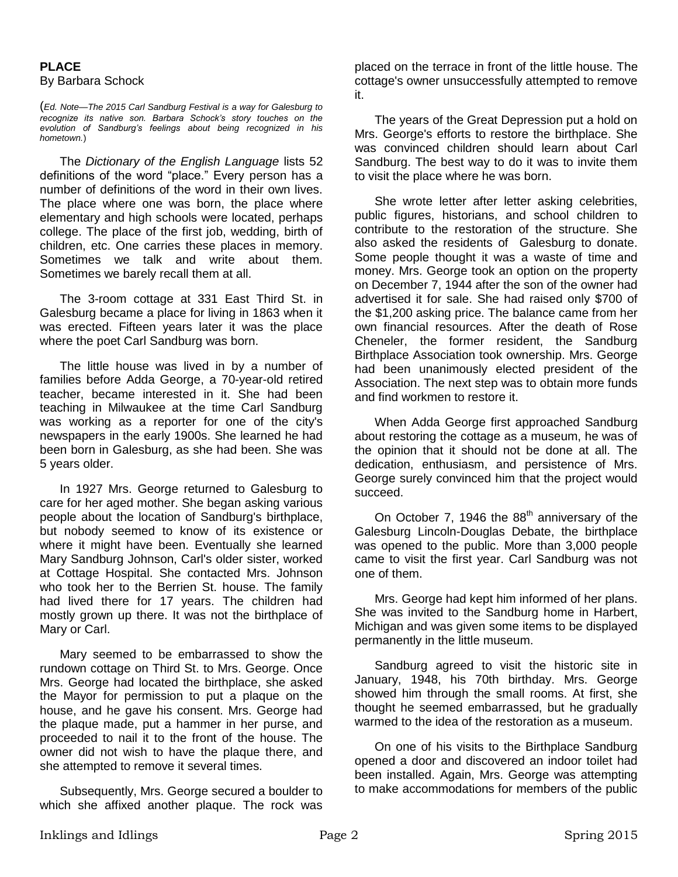# **PLACE**  By Barbara Schock

(*Ed. Note*—*The 2015 Carl Sandburg Festival is a way for Galesburg to recognize its native son. Barbara Schock's story touches on the evolution of Sandburg's feelings about being recognized in his hometown.*)

The *Dictionary of the English Language* lists 52 definitions of the word "place." Every person has a number of definitions of the word in their own lives. The place where one was born, the place where elementary and high schools were located, perhaps college. The place of the first job, wedding, birth of children, etc. One carries these places in memory. Sometimes we talk and write about them. Sometimes we barely recall them at all.

The 3-room cottage at 331 East Third St. in Galesburg became a place for living in 1863 when it was erected. Fifteen years later it was the place where the poet Carl Sandburg was born.

The little house was lived in by a number of families before Adda George, a 70-year-old retired teacher, became interested in it. She had been teaching in Milwaukee at the time Carl Sandburg was working as a reporter for one of the city's newspapers in the early 1900s. She learned he had been born in Galesburg, as she had been. She was 5 years older.

In 1927 Mrs. George returned to Galesburg to care for her aged mother. She began asking various people about the location of Sandburg's birthplace, but nobody seemed to know of its existence or where it might have been. Eventually she learned Mary Sandburg Johnson, Carl's older sister, worked at Cottage Hospital. She contacted Mrs. Johnson who took her to the Berrien St. house. The family had lived there for 17 years. The children had mostly grown up there. It was not the birthplace of Mary or Carl.

Mary seemed to be embarrassed to show the rundown cottage on Third St. to Mrs. George. Once Mrs. George had located the birthplace, she asked the Mayor for permission to put a plaque on the house, and he gave his consent. Mrs. George had the plaque made, put a hammer in her purse, and proceeded to nail it to the front of the house. The owner did not wish to have the plaque there, and she attempted to remove it several times.

Subsequently, Mrs. George secured a boulder to which she affixed another plaque. The rock was

placed on the terrace in front of the little house. The cottage's owner unsuccessfully attempted to remove it.

The years of the Great Depression put a hold on Mrs. George's efforts to restore the birthplace. She was convinced children should learn about Carl Sandburg. The best way to do it was to invite them to visit the place where he was born.

She wrote letter after letter asking celebrities, public figures, historians, and school children to contribute to the restoration of the structure. She also asked the residents of Galesburg to donate. Some people thought it was a waste of time and money. Mrs. George took an option on the property on December 7, 1944 after the son of the owner had advertised it for sale. She had raised only \$700 of the \$1,200 asking price. The balance came from her own financial resources. After the death of Rose Cheneler, the former resident, the Sandburg Birthplace Association took ownership. Mrs. George had been unanimously elected president of the Association. The next step was to obtain more funds and find workmen to restore it.

When Adda George first approached Sandburg about restoring the cottage as a museum, he was of the opinion that it should not be done at all. The dedication, enthusiasm, and persistence of Mrs. George surely convinced him that the project would succeed.

On October 7, 1946 the  $88<sup>th</sup>$  anniversary of the Galesburg Lincoln-Douglas Debate, the birthplace was opened to the public. More than 3,000 people came to visit the first year. Carl Sandburg was not one of them.

Mrs. George had kept him informed of her plans. She was invited to the Sandburg home in Harbert, Michigan and was given some items to be displayed permanently in the little museum.

Sandburg agreed to visit the historic site in January, 1948, his 70th birthday. Mrs. George showed him through the small rooms. At first, she thought he seemed embarrassed, but he gradually warmed to the idea of the restoration as a museum.

On one of his visits to the Birthplace Sandburg opened a door and discovered an indoor toilet had been installed. Again, Mrs. George was attempting to make accommodations for members of the public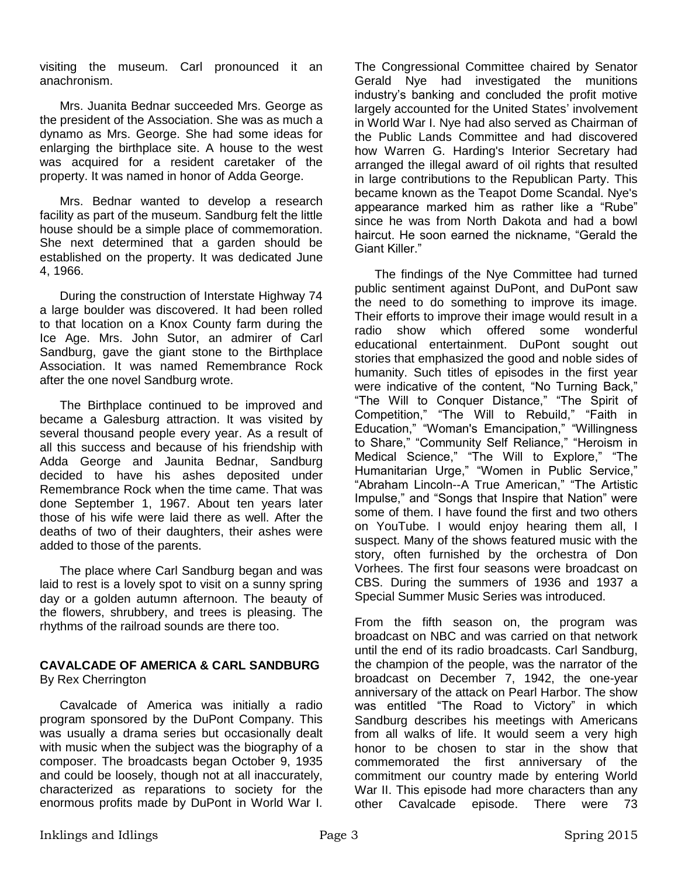visiting the museum. Carl pronounced it an anachronism.

Mrs. Juanita Bednar succeeded Mrs. George as the president of the Association. She was as much a dynamo as Mrs. George. She had some ideas for enlarging the birthplace site. A house to the west was acquired for a resident caretaker of the property. It was named in honor of Adda George.

Mrs. Bednar wanted to develop a research facility as part of the museum. Sandburg felt the little house should be a simple place of commemoration. She next determined that a garden should be established on the property. It was dedicated June 4, 1966.

During the construction of Interstate Highway 74 a large boulder was discovered. It had been rolled to that location on a Knox County farm during the Ice Age. Mrs. John Sutor, an admirer of Carl Sandburg, gave the giant stone to the Birthplace Association. It was named Remembrance Rock after the one novel Sandburg wrote.

The Birthplace continued to be improved and became a Galesburg attraction. It was visited by several thousand people every year. As a result of all this success and because of his friendship with Adda George and Jaunita Bednar, Sandburg decided to have his ashes deposited under Remembrance Rock when the time came. That was done September 1, 1967. About ten years later those of his wife were laid there as well. After the deaths of two of their daughters, their ashes were added to those of the parents.

The place where Carl Sandburg began and was laid to rest is a lovely spot to visit on a sunny spring day or a golden autumn afternoon. The beauty of the flowers, shrubbery, and trees is pleasing. The rhythms of the railroad sounds are there too.

## **CAVALCADE OF AMERICA & CARL SANDBURG** By Rex Cherrington

Cavalcade of America was initially a radio program sponsored by the DuPont Company. This was usually a drama series but occasionally dealt with music when the subject was the biography of a composer. The broadcasts began October 9, 1935 and could be loosely, though not at all inaccurately, characterized as reparations to society for the enormous profits made by DuPont in World War I. The Congressional Committee chaired by Senator Gerald Nye had investigated the munitions industry's banking and concluded the profit motive largely accounted for the United States' involvement in World War I. Nye had also served as Chairman of the Public Lands Committee and had discovered how Warren G. Harding's Interior Secretary had arranged the illegal award of oil rights that resulted in large contributions to the Republican Party. This became known as the Teapot Dome Scandal. Nye's appearance marked him as rather like a "Rube" since he was from North Dakota and had a bowl haircut. He soon earned the nickname, "Gerald the Giant Killer."

The findings of the Nye Committee had turned public sentiment against DuPont, and DuPont saw the need to do something to improve its image. Their efforts to improve their image would result in a radio show which offered some wonderful educational entertainment. DuPont sought out stories that emphasized the good and noble sides of humanity. Such titles of episodes in the first year were indicative of the content, "No Turning Back," "The Will to Conquer Distance," "The Spirit of Competition," "The Will to Rebuild," "Faith in Education," "Woman's Emancipation," "Willingness to Share," "Community Self Reliance," "Heroism in Medical Science," "The Will to Explore," "The Humanitarian Urge," "Women in Public Service," "Abraham Lincoln--A True American," "The Artistic Impulse," and "Songs that Inspire that Nation" were some of them. I have found the first and two others on YouTube. I would enjoy hearing them all, I suspect. Many of the shows featured music with the story, often furnished by the orchestra of Don Vorhees. The first four seasons were broadcast on CBS. During the summers of 1936 and 1937 a Special Summer Music Series was introduced.

From the fifth season on, the program was broadcast on NBC and was carried on that network until the end of its radio broadcasts. Carl Sandburg, the champion of the people, was the narrator of the broadcast on December 7, 1942, the one-year anniversary of the attack on Pearl Harbor. The show was entitled "The Road to Victory" in which Sandburg describes his meetings with Americans from all walks of life. It would seem a very high honor to be chosen to star in the show that commemorated the first anniversary of the commitment our country made by entering World War II. This episode had more characters than any other Cavalcade episode. There were 73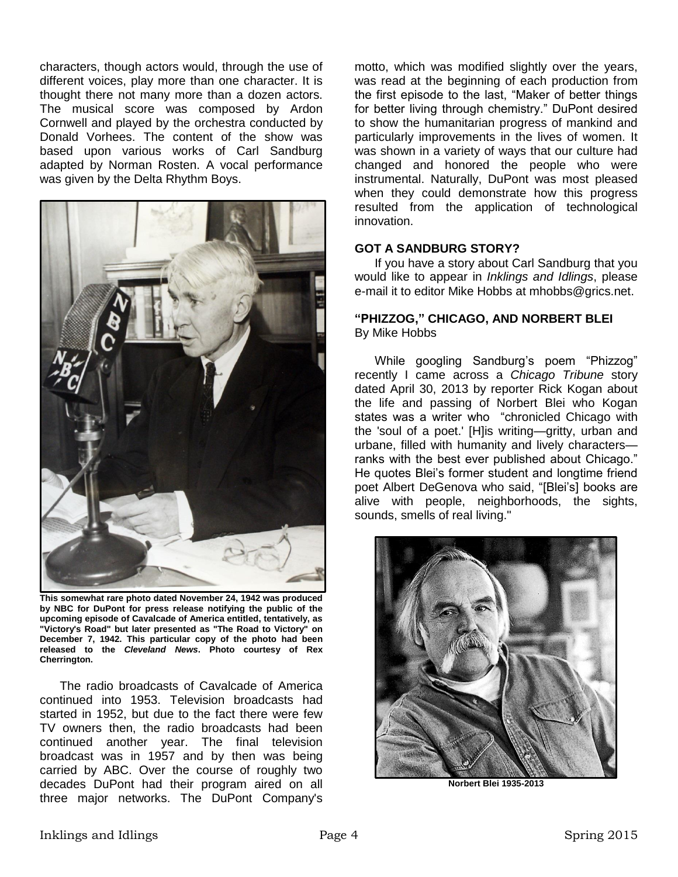characters, though actors would, through the use of different voices, play more than one character. It is thought there not many more than a dozen actors. The musical score was composed by Ardon Cornwell and played by the orchestra conducted by Donald Vorhees. The content of the show was based upon various works of Carl Sandburg adapted by Norman Rosten. A vocal performance was given by the Delta Rhythm Boys.



**This somewhat rare photo dated November 24, 1942 was produced by NBC for DuPont for press release notifying the public of the upcoming episode of Cavalcade of America entitled, tentatively, as "Victory's Road" but later presented as "The Road to Victory" on December 7, 1942. This particular copy of the photo had been released to the** *Cleveland News***. Photo courtesy of Rex Cherrington.**

The radio broadcasts of Cavalcade of America continued into 1953. Television broadcasts had started in 1952, but due to the fact there were few TV owners then, the radio broadcasts had been continued another year. The final television broadcast was in 1957 and by then was being carried by ABC. Over the course of roughly two decades DuPont had their program aired on all three major networks. The DuPont Company's

motto, which was modified slightly over the years, was read at the beginning of each production from the first episode to the last, "Maker of better things for better living through chemistry." DuPont desired to show the humanitarian progress of mankind and particularly improvements in the lives of women. It was shown in a variety of ways that our culture had changed and honored the people who were instrumental. Naturally, DuPont was most pleased when they could demonstrate how this progress resulted from the application of technological innovation.

## **GOT A SANDBURG STORY?**

If you have a story about Carl Sandburg that you would like to appear in *Inklings and Idlings*, please e-mail it to editor Mike Hobbs at mhobbs@grics.net.

#### **"PHIZZOG," CHICAGO, AND NORBERT BLEI** By Mike Hobbs

While googling Sandburg's poem "Phizzog" recently I came across a *Chicago Tribune* story dated April 30, 2013 by reporter Rick Kogan about the life and passing of Norbert Blei who Kogan states was a writer who "chronicled Chicago with the 'soul of a poet.' [H]is writing—gritty, urban and urbane, filled with humanity and lively characters ranks with the best ever published about Chicago." He quotes Blei's former student and longtime friend poet Albert DeGenova who said, "[Blei's] books are alive with people, neighborhoods, the sights, sounds, smells of real living."



**Norbert Blei 1935-2013**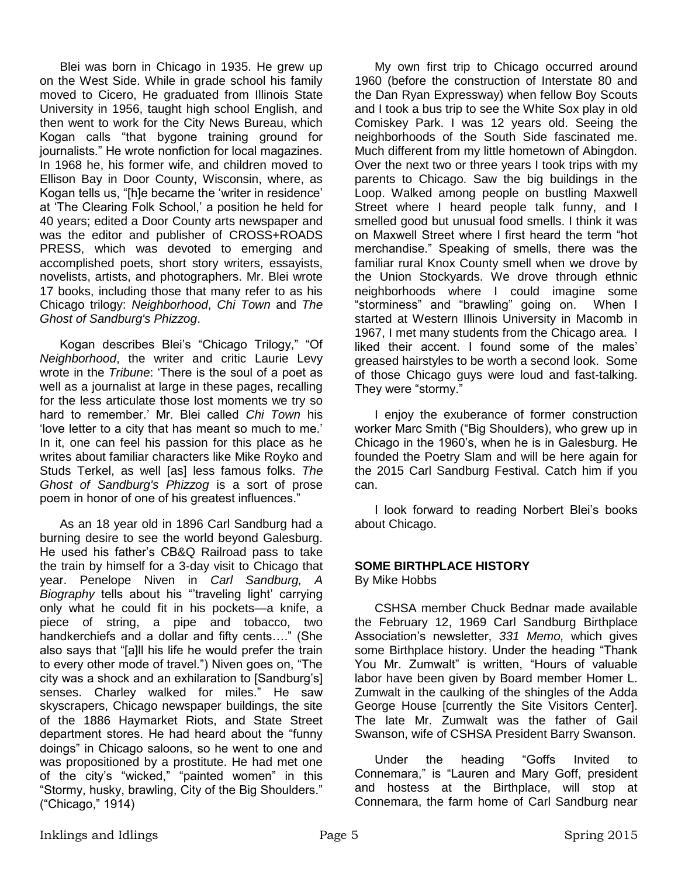Blei was born in Chicago in 1935. He grew up on the West Side. While in grade school his family moved to Cicero, He graduated from Illinois State University in 1956, taught high school English, and then went to work for the City News Bureau, which Kogan calls "that bygone training ground for journalists." He wrote nonfiction for local magazines. In 1968 he, his former wife, and children moved to Ellison Bay in Door County, Wisconsin, where, as Kogan tells us, "[h]e became the 'writer in residence' at 'The Clearing Folk School,' a position he held for 40 years; edited a Door County arts newspaper and was the editor and publisher of CROSS+ROADS PRESS, which was devoted to emerging and accomplished poets, short story writers, essayists, novelists, artists, and photographers. Mr. Blei wrote 17 books, including those that many refer to as his Chicago trilogy: *Neighborhood*, *Chi Town* and *The Ghost of Sandburg's Phizzog*.

Kogan describes Blei's "Chicago Trilogy," "Of *Neighborhood*, the writer and critic Laurie Levy wrote in the *Tribune*: 'There is the soul of a poet as well as a journalist at large in these pages, recalling for the less articulate those lost moments we try so hard to remember.' Mr. Blei called *Chi Town* his 'love letter to a city that has meant so much to me.' In it, one can feel his passion for this place as he writes about familiar characters like Mike Royko and Studs Terkel, as well [as] less famous folks. *The Ghost of Sandburg's Phizzog* is a sort of prose poem in honor of one of his greatest influences."

As an 18 year old in 1896 Carl Sandburg had a burning desire to see the world beyond Galesburg. He used his father's CB&Q Railroad pass to take the train by himself for a 3-day visit to Chicago that year. Penelope Niven in *Carl Sandburg, A Biography* tells about his "'traveling light' carrying only what he could fit in his pockets—a knife, a piece of string, a pipe and tobacco, two handkerchiefs and a dollar and fifty cents…." (She also says that "[a]ll his life he would prefer the train to every other mode of travel.") Niven goes on, "The city was a shock and an exhilaration to [Sandburg's] senses. Charley walked for miles." He saw skyscrapers, Chicago newspaper buildings, the site of the 1886 Haymarket Riots, and State Street department stores. He had heard about the "funny doings" in Chicago saloons, so he went to one and was propositioned by a prostitute. He had met one of the city's "wicked," "painted women" in this "Stormy, husky, brawling, City of the Big Shoulders." ("Chicago," 1914)

 My own first trip to Chicago occurred around 1960 (before the construction of Interstate 80 and the Dan Ryan Expressway) when fellow Boy Scouts and I took a bus trip to see the White Sox play in old Comiskey Park. I was 12 years old. Seeing the neighborhoods of the South Side fascinated me. Much different from my little hometown of Abingdon. Over the next two or three years I took trips with my parents to Chicago. Saw the big buildings in the Loop. Walked among people on bustling Maxwell Street where I heard people talk funny, and I smelled good but unusual food smells. I think it was on Maxwell Street where I first heard the term "hot merchandise." Speaking of smells, there was the familiar rural Knox County smell when we drove by the Union Stockyards. We drove through ethnic neighborhoods where I could imagine some "storminess" and "brawling" going on. When I started at Western Illinois University in Macomb in 1967, I met many students from the Chicago area. I liked their accent. I found some of the males' greased hairstyles to be worth a second look. Some of those Chicago guys were loud and fast-talking. They were "stormy."

I enjoy the exuberance of former construction worker Marc Smith ("Big Shoulders), who grew up in Chicago in the 1960's, when he is in Galesburg. He founded the Poetry Slam and will be here again for the 2015 Carl Sandburg Festival. Catch him if you can.

I look forward to reading Norbert Blei's books about Chicago.

# **SOME BIRTHPLACE HISTORY**

By Mike Hobbs

CSHSA member Chuck Bednar made available the February 12, 1969 Carl Sandburg Birthplace Association's newsletter, *331 Memo,* which gives some Birthplace history. Under the heading "Thank You Mr. Zumwalt" is written, "Hours of valuable labor have been given by Board member Homer L. Zumwalt in the caulking of the shingles of the Adda George House [currently the Site Visitors Center]. The late Mr. Zumwalt was the father of Gail Swanson, wife of CSHSA President Barry Swanson.

Under the heading "Goffs Invited to Connemara," is "Lauren and Mary Goff, president and hostess at the Birthplace, will stop at Connemara, the farm home of Carl Sandburg near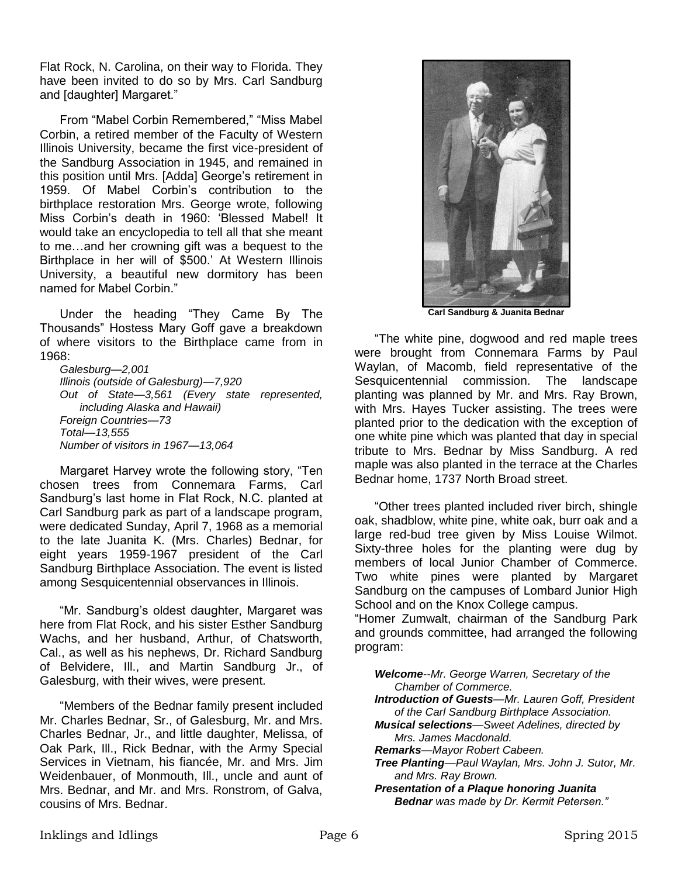Flat Rock, N. Carolina, on their way to Florida. They have been invited to do so by Mrs. Carl Sandburg and [daughter] Margaret."

From "Mabel Corbin Remembered," "Miss Mabel Corbin, a retired member of the Faculty of Western Illinois University, became the first vice-president of the Sandburg Association in 1945, and remained in this position until Mrs. [Adda] George's retirement in 1959. Of Mabel Corbin's contribution to the birthplace restoration Mrs. George wrote, following Miss Corbin's death in 1960: 'Blessed Mabel! It would take an encyclopedia to tell all that she meant to me…and her crowning gift was a bequest to the Birthplace in her will of \$500.' At Western Illinois University, a beautiful new dormitory has been named for Mabel Corbin."

Under the heading "They Came By The Thousands" Hostess Mary Goff gave a breakdown of where visitors to the Birthplace came from in 1968:

*Galesburg—2,001 Illinois (outside of Galesburg)—7,920 Out of State—3,561 (Every state represented, including Alaska and Hawaii) Foreign Countries—73 Total—13,555 Number of visitors in 1967—13,064*

Margaret Harvey wrote the following story, "Ten chosen trees from Connemara Farms, Carl Sandburg's last home in Flat Rock, N.C. planted at Carl Sandburg park as part of a landscape program, were dedicated Sunday, April 7, 1968 as a memorial to the late Juanita K. (Mrs. Charles) Bednar, for eight years 1959-1967 president of the Carl Sandburg Birthplace Association. The event is listed among Sesquicentennial observances in Illinois.

"Mr. Sandburg's oldest daughter, Margaret was here from Flat Rock, and his sister Esther Sandburg Wachs, and her husband, Arthur, of Chatsworth, Cal., as well as his nephews, Dr. Richard Sandburg of Belvidere, Ill., and Martin Sandburg Jr., of Galesburg, with their wives, were present.

"Members of the Bednar family present included Mr. Charles Bednar, Sr., of Galesburg, Mr. and Mrs. Charles Bednar, Jr., and little daughter, Melissa, of Oak Park, Ill., Rick Bednar, with the Army Special Services in Vietnam, his fiancée, Mr. and Mrs. Jim Weidenbauer, of Monmouth, Ill., uncle and aunt of Mrs. Bednar, and Mr. and Mrs. Ronstrom, of Galva, cousins of Mrs. Bednar.



**Carl Sandburg & Juanita Bednar**

"The white pine, dogwood and red maple trees were brought from Connemara Farms by Paul Waylan, of Macomb, field representative of the Sesquicentennial commission. The landscape planting was planned by Mr. and Mrs. Ray Brown, with Mrs. Hayes Tucker assisting. The trees were planted prior to the dedication with the exception of one white pine which was planted that day in special tribute to Mrs. Bednar by Miss Sandburg. A red maple was also planted in the terrace at the Charles Bednar home, 1737 North Broad street.

"Other trees planted included river birch, shingle oak, shadblow, white pine, white oak, burr oak and a large red-bud tree given by Miss Louise Wilmot. Sixty-three holes for the planting were dug by members of local Junior Chamber of Commerce. Two white pines were planted by Margaret Sandburg on the campuses of Lombard Junior High School and on the Knox College campus.

"Homer Zumwalt, chairman of the Sandburg Park and grounds committee, had arranged the following program:

*Welcome--Mr. George Warren, Secretary of the Chamber of Commerce.*

*Introduction of Guests—Mr. Lauren Goff, President of the Carl Sandburg Birthplace Association.*

*Musical selections—Sweet Adelines, directed by Mrs. James Macdonald.*

*Remarks—Mayor Robert Cabeen.*

*Tree Planting—Paul Waylan, Mrs. John J. Sutor, Mr. and Mrs. Ray Brown.*

*Presentation of a Plaque honoring Juanita Bednar was made by Dr. Kermit Petersen."*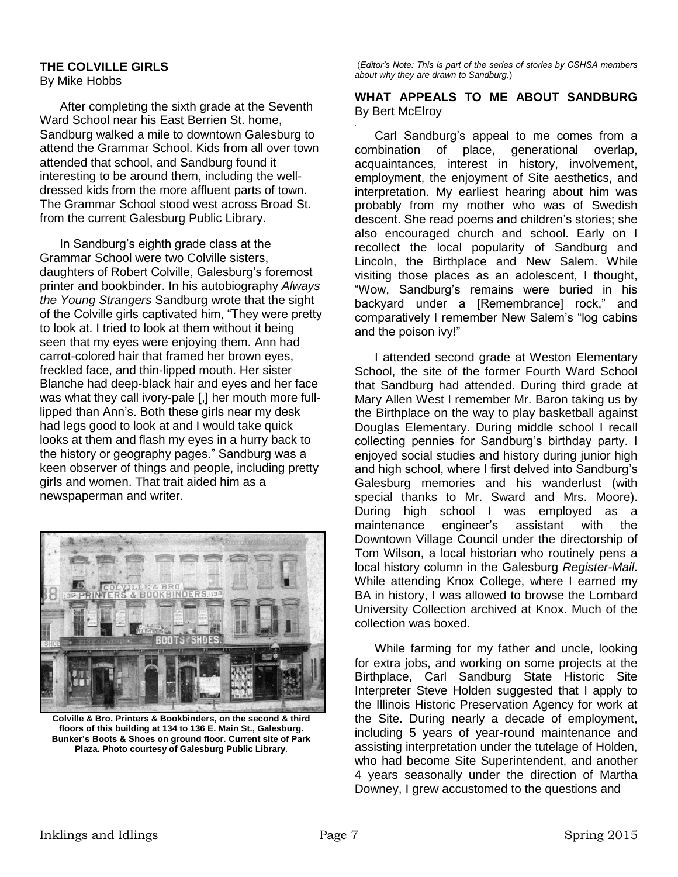# **THE COLVILLE GIRLS**

By Mike Hobbs

After completing the sixth grade at the Seventh Ward School near his East Berrien St. home, Sandburg walked a mile to downtown Galesburg to attend the Grammar School. Kids from all over town attended that school, and Sandburg found it interesting to be around them, including the welldressed kids from the more affluent parts of town. The Grammar School stood west across Broad St. from the current Galesburg Public Library.

In Sandburg's eighth grade class at the Grammar School were two Colville sisters, daughters of Robert Colville, Galesburg's foremost printer and bookbinder. In his autobiography *Always the Young Strangers* Sandburg wrote that the sight of the Colville girls captivated him, "They were pretty to look at. I tried to look at them without it being seen that my eyes were enjoying them. Ann had carrot-colored hair that framed her brown eyes, freckled face, and thin-lipped mouth. Her sister Blanche had deep-black hair and eyes and her face was what they call ivory-pale [,] her mouth more fulllipped than Ann's. Both these girls near my desk had legs good to look at and I would take quick looks at them and flash my eyes in a hurry back to the history or geography pages." Sandburg was a keen observer of things and people, including pretty girls and women. That trait aided him as a newspaperman and writer.



**Colville & Bro. Printers & Bookbinders, on the second & third floors of this building at 134 to 136 E. Main St., Galesburg. Bunker's Boots & Shoes on ground floor. Current site of Park Plaza. Photo courtesy of Galesburg Public Library**.

(*Editor's Note: This is part of the series of stories by CSHSA members about why they are drawn to Sandburg.*)

#### **WHAT APPEALS TO ME ABOUT SANDBURG**  By Bert McElroy

*.* Carl Sandburg's appeal to me comes from a combination of place, generational overlap, acquaintances, interest in history, involvement, employment, the enjoyment of Site aesthetics, and interpretation. My earliest hearing about him was probably from my mother who was of Swedish descent. She read poems and children's stories; she also encouraged church and school. Early on I recollect the local popularity of Sandburg and Lincoln, the Birthplace and New Salem. While visiting those places as an adolescent, I thought, "Wow, Sandburg's remains were buried in his backyard under a [Remembrance] rock," and comparatively I remember New Salem's "log cabins and the poison ivy!"

I attended second grade at Weston Elementary School, the site of the former Fourth Ward School that Sandburg had attended. During third grade at Mary Allen West I remember Mr. Baron taking us by the Birthplace on the way to play basketball against Douglas Elementary. During middle school I recall collecting pennies for Sandburg's birthday party. I enjoyed social studies and history during junior high and high school, where I first delved into Sandburg's Galesburg memories and his wanderlust (with special thanks to Mr. Sward and Mrs. Moore). During high school I was employed as a maintenance engineer's assistant with the Downtown Village Council under the directorship of Tom Wilson, a local historian who routinely pens a local history column in the Galesburg *Register-Mail*. While attending Knox College, where I earned my BA in history, I was allowed to browse the Lombard University Collection archived at Knox. Much of the collection was boxed.

While farming for my father and uncle, looking for extra jobs, and working on some projects at the Birthplace, Carl Sandburg State Historic Site Interpreter Steve Holden suggested that I apply to the Illinois Historic Preservation Agency for work at the Site. During nearly a decade of employment, including 5 years of year-round maintenance and assisting interpretation under the tutelage of Holden, who had become Site Superintendent, and another 4 years seasonally under the direction of Martha Downey, I grew accustomed to the questions and